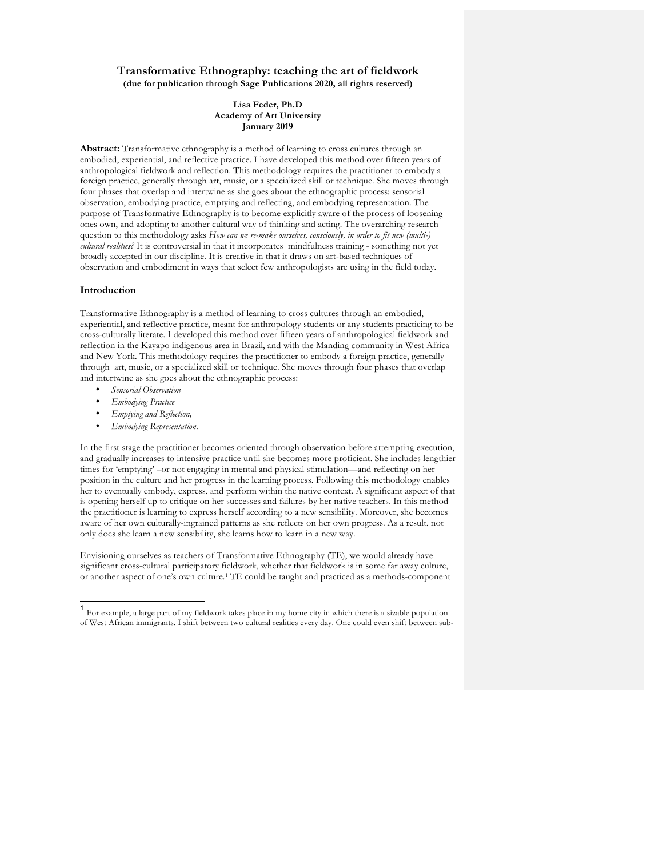# **Transformative Ethnography: teaching the art of fieldwork (due for publication through Sage Publications 2020, all rights reserved)**

### **Lisa Feder, Ph.D Academy of Art University January 2019**

**Abstract:** Transformative ethnography is a method of learning to cross cultures through an embodied, experiential, and reflective practice. I have developed this method over fifteen years of anthropological fieldwork and reflection. This methodology requires the practitioner to embody a foreign practice, generally through art, music, or a specialized skill or technique. She moves through four phases that overlap and intertwine as she goes about the ethnographic process: sensorial observation, embodying practice, emptying and reflecting, and embodying representation. The purpose of Transformative Ethnography is to become explicitly aware of the process of loosening ones own, and adopting to another cultural way of thinking and acting. The overarching research question to this methodology asks *How can we re-make ourselves, consciously, in order to fit new (multi-) cultural realities?* It is controversial in that it incorporates mindfulness training - something not yet broadly accepted in our discipline. It is creative in that it draws on art-based techniques of observation and embodiment in ways that select few anthropologists are using in the field today.

### **Introduction**

Transformative Ethnography is a method of learning to cross cultures through an embodied, experiential, and reflective practice, meant for anthropology students or any students practicing to be cross-culturally literate. I developed this method over fifteen years of anthropological fieldwork and reflection in the Kayapo indigenous area in Brazil, and with the Manding community in West Africa and New York. This methodology requires the practitioner to embody a foreign practice, generally through art, music, or a specialized skill or technique. She moves through four phases that overlap and intertwine as she goes about the ethnographic process:

- *Sensorial Observation*
- *Embodying Practice*
- *Emptying and Reflection,*
- *Embodying Representation.*

In the first stage the practitioner becomes oriented through observation before attempting execution, and gradually increases to intensive practice until she becomes more proficient. She includes lengthier times for 'emptying' –or not engaging in mental and physical stimulation—and reflecting on her position in the culture and her progress in the learning process. Following this methodology enables her to eventually embody, express, and perform within the native context. A significant aspect of that is opening herself up to critique on her successes and failures by her native teachers. In this method the practitioner is learning to express herself according to a new sensibility. Moreover, she becomes aware of her own culturally-ingrained patterns as she reflects on her own progress. As a result, not only does she learn a new sensibility, she learns how to learn in a new way.

Envisioning ourselves as teachers of Transformative Ethnography (TE), we would already have significant cross-cultural participatory fieldwork, whether that fieldwork is in some far away culture, or another aspect of one's own culture.1 TE could be taught and practiced as a methods-component

 <sup>1</sup> For example, a large part of my fieldwork takes place in my home city in which there is a sizable population of West African immigrants. I shift between two cultural realities every day. One could even shift between sub-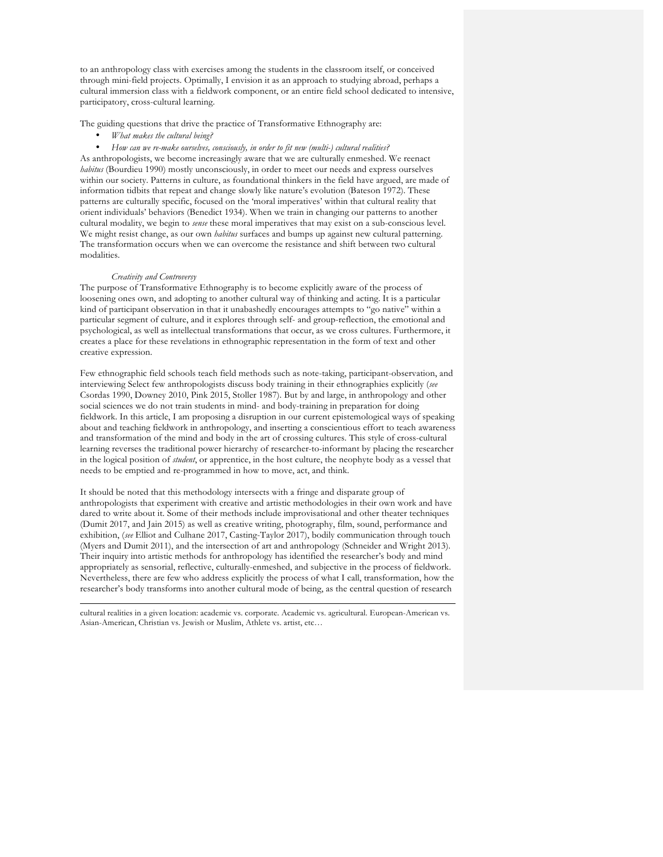to an anthropology class with exercises among the students in the classroom itself, or conceived through mini-field projects. Optimally, I envision it as an approach to studying abroad, perhaps a cultural immersion class with a fieldwork component, or an entire field school dedicated to intensive, participatory, cross-cultural learning.

The guiding questions that drive the practice of Transformative Ethnography are:

• *What makes the cultural being?*

• *How can we re-make ourselves, consciously, in order to fit new (multi-) cultural realities?* As anthropologists, we become increasingly aware that we are culturally enmeshed. We reenact *habitus* (Bourdieu 1990) mostly unconsciously, in order to meet our needs and express ourselves within our society. Patterns in culture, as foundational thinkers in the field have argued, are made of information tidbits that repeat and change slowly like nature's evolution (Bateson 1972). These patterns are culturally specific, focused on the 'moral imperatives' within that cultural reality that orient individuals' behaviors (Benedict 1934). When we train in changing our patterns to another cultural modality, we begin to *sense* these moral imperatives that may exist on a sub-conscious level. We might resist change, as our own *habitus* surfaces and bumps up against new cultural patterning. The transformation occurs when we can overcome the resistance and shift between two cultural modalities.

## *Creativity and Controversy*

 $\overline{a}$ 

The purpose of Transformative Ethnography is to become explicitly aware of the process of loosening ones own, and adopting to another cultural way of thinking and acting. It is a particular kind of participant observation in that it unabashedly encourages attempts to "go native" within a particular segment of culture, and it explores through self- and group-reflection, the emotional and psychological, as well as intellectual transformations that occur, as we cross cultures. Furthermore, it creates a place for these revelations in ethnographic representation in the form of text and other creative expression.

Few ethnographic field schools teach field methods such as note-taking, participant-observation, and interviewing Select few anthropologists discuss body training in their ethnographies explicitly (*see*  Csordas 1990, Downey 2010, Pink 2015, Stoller 1987). But by and large, in anthropology and other social sciences we do not train students in mind- and body-training in preparation for doing fieldwork. In this article, I am proposing a disruption in our current epistemological ways of speaking about and teaching fieldwork in anthropology, and inserting a conscientious effort to teach awareness and transformation of the mind and body in the art of crossing cultures. This style of cross-cultural learning reverses the traditional power hierarchy of researcher-to-informant by placing the researcher in the logical position of *student*, or apprentice, in the host culture, the neophyte body as a vessel that needs to be emptied and re-programmed in how to move, act, and think.

It should be noted that this methodology intersects with a fringe and disparate group of anthropologists that experiment with creative and artistic methodologies in their own work and have dared to write about it. Some of their methods include improvisational and other theater techniques (Dumit 2017, and Jain 2015) as well as creative writing, photography, film, sound, performance and exhibition, (*see* Elliot and Culhane 2017, Casting-Taylor 2017), bodily communication through touch (Myers and Dumit 2011), and the intersection of art and anthropology (Schneider and Wright 2013). Their inquiry into artistic methods for anthropology has identified the researcher's body and mind appropriately as sensorial, reflective, culturally-enmeshed, and subjective in the process of fieldwork. Nevertheless, there are few who address explicitly the process of what I call, transformation, how the researcher's body transforms into another cultural mode of being, as the central question of research

cultural realities in a given location: academic vs. corporate. Academic vs. agricultural. European-American vs. Asian-American, Christian vs. Jewish or Muslim, Athlete vs. artist, etc…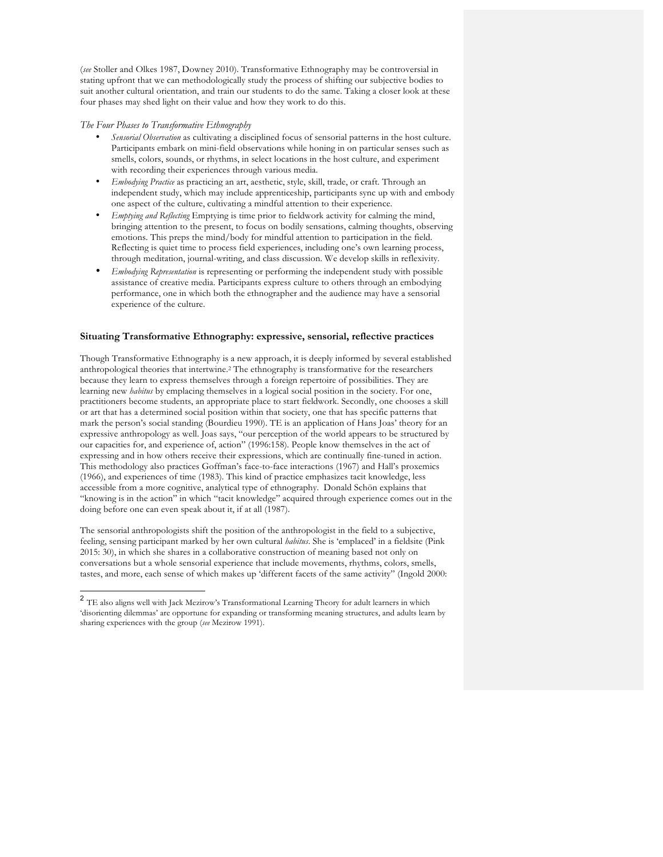(*see* Stoller and Olkes 1987, Downey 2010). Transformative Ethnography may be controversial in stating upfront that we can methodologically study the process of shifting our subjective bodies to suit another cultural orientation, and train our students to do the same. Taking a closer look at these four phases may shed light on their value and how they work to do this.

### *The Four Phases to Transformative Ethnography*

- *Sensorial Observation* as cultivating a disciplined focus of sensorial patterns in the host culture. Participants embark on mini-field observations while honing in on particular senses such as smells, colors, sounds, or rhythms, in select locations in the host culture, and experiment with recording their experiences through various media.
- *Embodying Practice* as practicing an art, aesthetic, style, skill, trade, or craft*.* Through an independent study, which may include apprenticeship, participants sync up with and embody one aspect of the culture, cultivating a mindful attention to their experience.
- *Emptying and Reflecting* Emptying is time prior to fieldwork activity for calming the mind, bringing attention to the present, to focus on bodily sensations, calming thoughts, observing emotions. This preps the mind/body for mindful attention to participation in the field. Reflecting is quiet time to process field experiences, including one's own learning process, through meditation, journal-writing, and class discussion. We develop skills in reflexivity.
- *Embodying Representation* is representing or performing the independent study with possible assistance of creative media. Participants express culture to others through an embodying performance, one in which both the ethnographer and the audience may have a sensorial experience of the culture.

# **Situating Transformative Ethnography: expressive, sensorial, reflective practices**

Though Transformative Ethnography is a new approach, it is deeply informed by several established anthropological theories that intertwine.2 The ethnography is transformative for the researchers because they learn to express themselves through a foreign repertoire of possibilities. They are learning new *habitus* by emplacing themselves in a logical social position in the society. For one, practitioners become students, an appropriate place to start fieldwork. Secondly, one chooses a skill or art that has a determined social position within that society, one that has specific patterns that mark the person's social standing (Bourdieu 1990). TE is an application of Hans Joas' theory for an expressive anthropology as well. Joas says, "our perception of the world appears to be structured by our capacities for, and experience of, action" (1996:158). People know themselves in the act of expressing and in how others receive their expressions, which are continually fine-tuned in action. This methodology also practices Goffman's face-to-face interactions (1967) and Hall's proxemics (1966), and experiences of time (1983). This kind of practice emphasizes tacit knowledge, less accessible from a more cognitive, analytical type of ethnography. Donald Schön explains that "knowing is in the action" in which "tacit knowledge" acquired through experience comes out in the doing before one can even speak about it, if at all (1987).

The sensorial anthropologists shift the position of the anthropologist in the field to a subjective, feeling, sensing participant marked by her own cultural *habitus*. She is 'emplaced' in a fieldsite (Pink 2015: 30), in which she shares in a collaborative construction of meaning based not only on conversations but a whole sensorial experience that include movements, rhythms, colors, smells, tastes, and more, each sense of which makes up 'different facets of the same activity" (Ingold 2000:

 $2$  TE also aligns well with Jack Mezirow's Transformational Learning Theory for adult learners in which 'disorienting dilemmas' are opportune for expanding or transforming meaning structures, and adults learn by sharing experiences with the group (*see* Mezirow 1991).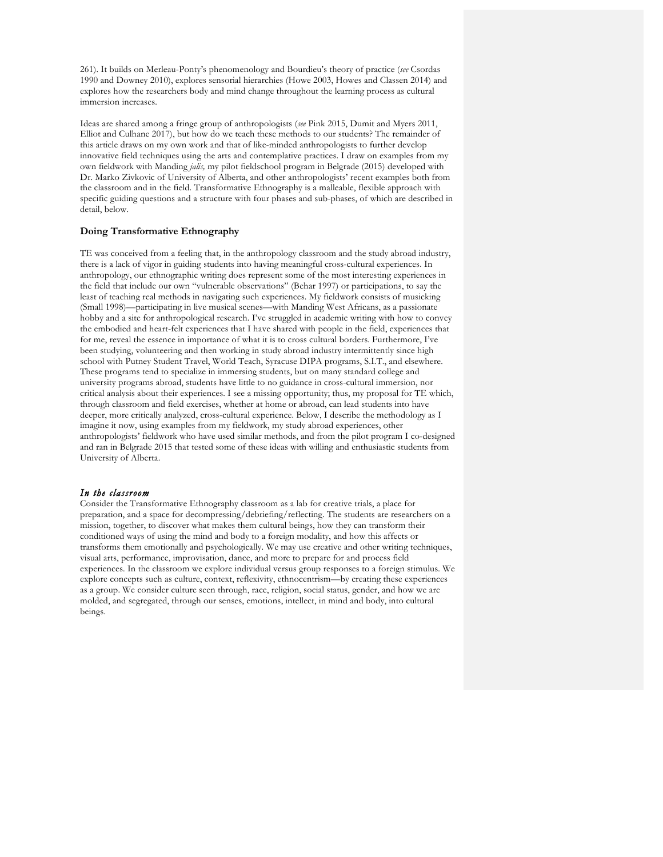261). It builds on Merleau-Ponty's phenomenology and Bourdieu's theory of practice (*see* Csordas 1990 and Downey 2010), explores sensorial hierarchies (Howe 2003, Howes and Classen 2014) and explores how the researchers body and mind change throughout the learning process as cultural immersion increases.

Ideas are shared among a fringe group of anthropologists (*see* Pink 2015, Dumit and Myers 2011, Elliot and Culhane 2017), but how do we teach these methods to our students? The remainder of this article draws on my own work and that of like-minded anthropologists to further develop innovative field techniques using the arts and contemplative practices. I draw on examples from my own fieldwork with Manding *jalis,* my pilot fieldschool program in Belgrade (2015) developed with Dr. Marko Zivkovic of University of Alberta, and other anthropologists' recent examples both from the classroom and in the field. Transformative Ethnography is a malleable, flexible approach with specific guiding questions and a structure with four phases and sub-phases, of which are described in detail, below.

# **Doing Transformative Ethnography**

TE was conceived from a feeling that, in the anthropology classroom and the study abroad industry, there is a lack of vigor in guiding students into having meaningful cross-cultural experiences. In anthropology, our ethnographic writing does represent some of the most interesting experiences in the field that include our own "vulnerable observations" (Behar 1997) or participations, to say the least of teaching real methods in navigating such experiences. My fieldwork consists of musicking (Small 1998)—participating in live musical scenes—with Manding West Africans, as a passionate hobby and a site for anthropological research. I've struggled in academic writing with how to convey the embodied and heart-felt experiences that I have shared with people in the field, experiences that for me, reveal the essence in importance of what it is to cross cultural borders. Furthermore, I've been studying, volunteering and then working in study abroad industry intermittently since high school with Putney Student Travel, World Teach, Syracuse DIPA programs, S.I.T., and elsewhere. These programs tend to specialize in immersing students, but on many standard college and university programs abroad, students have little to no guidance in cross-cultural immersion, nor critical analysis about their experiences. I see a missing opportunity; thus, my proposal for TE which, through classroom and field exercises, whether at home or abroad, can lead students into have deeper, more critically analyzed, cross-cultural experience. Below, I describe the methodology as I imagine it now, using examples from my fieldwork, my study abroad experiences, other anthropologists' fieldwork who have used similar methods, and from the pilot program I co-designed and ran in Belgrade 2015 that tested some of these ideas with willing and enthusiastic students from University of Alberta.

# *In the classroom*

Consider the Transformative Ethnography classroom as a lab for creative trials, a place for preparation, and a space for decompressing/debriefing/reflecting. The students are researchers on a mission, together, to discover what makes them cultural beings, how they can transform their conditioned ways of using the mind and body to a foreign modality, and how this affects or transforms them emotionally and psychologically. We may use creative and other writing techniques, visual arts, performance, improvisation, dance, and more to prepare for and process field experiences. In the classroom we explore individual versus group responses to a foreign stimulus. We explore concepts such as culture, context, reflexivity, ethnocentrism—by creating these experiences as a group. We consider culture seen through, race, religion, social status, gender, and how we are molded, and segregated, through our senses, emotions, intellect, in mind and body, into cultural beings.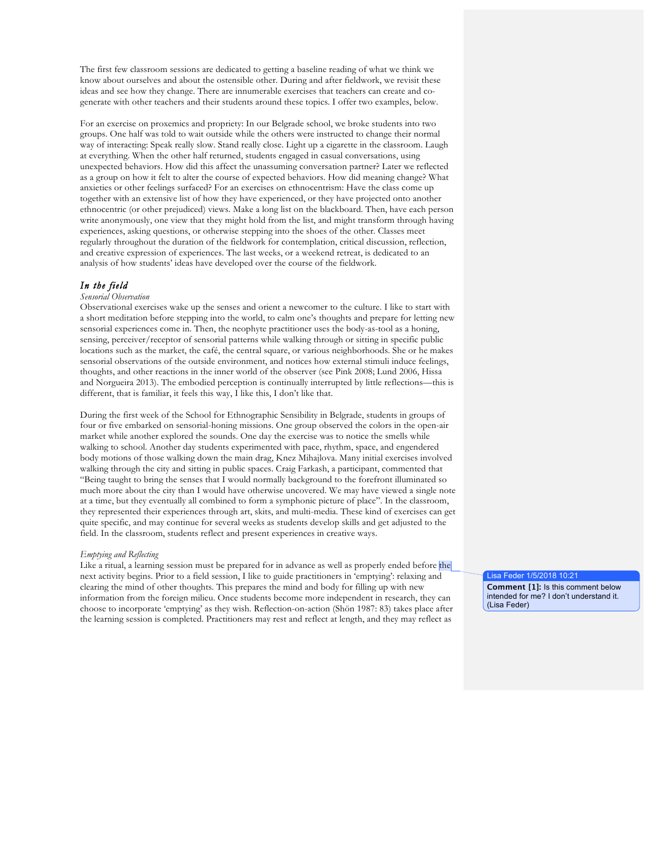The first few classroom sessions are dedicated to getting a baseline reading of what we think we know about ourselves and about the ostensible other. During and after fieldwork, we revisit these ideas and see how they change. There are innumerable exercises that teachers can create and cogenerate with other teachers and their students around these topics. I offer two examples, below.

For an exercise on proxemics and propriety: In our Belgrade school, we broke students into two groups. One half was told to wait outside while the others were instructed to change their normal way of interacting: Speak really slow. Stand really close. Light up a cigarette in the classroom. Laugh at everything. When the other half returned, students engaged in casual conversations, using unexpected behaviors. How did this affect the unassuming conversation partner? Later we reflected as a group on how it felt to alter the course of expected behaviors. How did meaning change? What anxieties or other feelings surfaced? For an exercises on ethnocentrism: Have the class come up together with an extensive list of how they have experienced, or they have projected onto another ethnocentric (or other prejudiced) views. Make a long list on the blackboard. Then, have each person write anonymously, one view that they might hold from the list, and might transform through having experiences, asking questions, or otherwise stepping into the shoes of the other. Classes meet regularly throughout the duration of the fieldwork for contemplation, critical discussion, reflection, and creative expression of experiences. The last weeks, or a weekend retreat, is dedicated to an analysis of how students' ideas have developed over the course of the fieldwork.

# *In the field*

#### *Sensorial Observation*

Observational exercises wake up the senses and orient a newcomer to the culture. I like to start with a short meditation before stepping into the world, to calm one's thoughts and prepare for letting new sensorial experiences come in. Then, the neophyte practitioner uses the body-as-tool as a honing, sensing, perceiver/receptor of sensorial patterns while walking through or sitting in specific public locations such as the market, the café, the central square, or various neighborhoods. She or he makes sensorial observations of the outside environment, and notices how external stimuli induce feelings, thoughts, and other reactions in the inner world of the observer (see Pink 2008; Lund 2006, Hissa and Norgueira 2013). The embodied perception is continually interrupted by little reflections—this is different, that is familiar, it feels this way, I like this, I don't like that.

During the first week of the School for Ethnographic Sensibility in Belgrade, students in groups of four or five embarked on sensorial-honing missions. One group observed the colors in the open-air market while another explored the sounds. One day the exercise was to notice the smells while walking to school. Another day students experimented with pace, rhythm, space, and engendered body motions of those walking down the main drag, Knez Mihajlova. Many initial exercises involved walking through the city and sitting in public spaces. Craig Farkash, a participant, commented that "Being taught to bring the senses that I would normally background to the forefront illuminated so much more about the city than I would have otherwise uncovered. We may have viewed a single note at a time, but they eventually all combined to form a symphonic picture of place". In the classroom, they represented their experiences through art, skits, and multi-media. These kind of exercises can get quite specific, and may continue for several weeks as students develop skills and get adjusted to the field. In the classroom, students reflect and present experiences in creative ways.

#### *Emptying and Reflecting*

Like a ritual, a learning session must be prepared for in advance as well as properly ended before the next activity begins. Prior to a field session, I like to guide practitioners in 'emptying': relaxing and clearing the mind of other thoughts. This prepares the mind and body for filling up with new information from the foreign milieu. Once students become more independent in research, they can choose to incorporate 'emptying' as they wish. Reflection-on-action (Shön 1987: 83) takes place after the learning session is completed. Practitioners may rest and reflect at length, and they may reflect as

Lisa Feder 1/5/2018 10:21

**Comment [1]:** Is this comment below intended for me? I don't understand it. (Lisa Feder)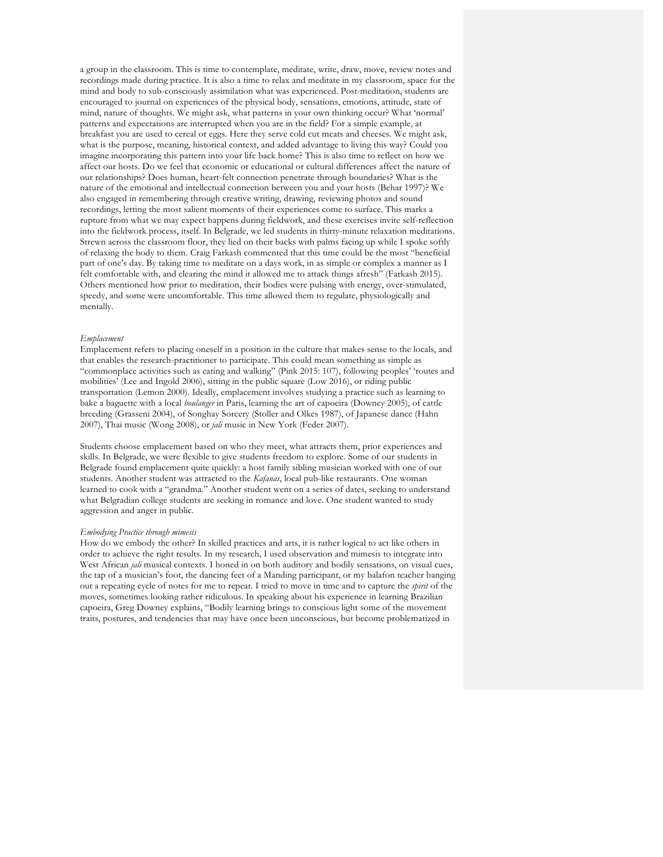a group in the classroom. This is time to contemplate, meditate, write, draw, move, review notes and recordings made during practice. It is also a time to relax and meditate in my classroom, space for the mind and body to sub-consciously assimilation what was experienced. Post-meditation, students are encouraged to journal on experiences of the physical body, sensations, emotions, attitude, state of mind, nature of thoughts. We might ask, what patterns in your own thinking occur? What 'normal' patterns and expectations are interrupted when you are in the field? For a simple example, at breakfast you are used to cereal or eggs. Here they serve cold cut meats and cheeses. We might ask, what is the purpose, meaning, historical context, and added advantage to living this way? Could you imagine incorporating this pattern into your life back home? This is also time to reflect on how we affect our hosts. Do we feel that economic or educational or cultural differences affect the nature of our relationships? Does human, heart-felt connection penetrate through boundaries? What is the nature of the emotional and intellectual connection between you and your hosts (Behar 1997)? We also engaged in remembering through creative writing, drawing, reviewing photos and sound recordings, letting the most salient moments of their experiences come to surface. This marks a rupture from what we may expect happens during fieldwork, and these exercises invite self-reflection into the fieldwork process, itself. In Belgrade, we led students in thirty-minute relaxation meditations. Strewn across the classroom floor, they lied on their backs with palms facing up while I spoke softly of relaxing the body to them. Craig Farkash commented that this time could be the most "beneficial part of one's day. By taking time to meditate on a days work, in as simple or complex a manner as I felt comfortable with, and clearing the mind it allowed me to attack things afresh" (Farkash 2015). Others mentioned how prior to meditation, their bodies were pulsing with energy, over-stimulated, speedy, and some were uncomfortable. This time allowed them to regulate, physiologically and mentally.

## *Emplacement*

Emplacement refers to placing oneself in a position in the culture that makes sense to the locals, and that enables the research-practitioner to participate. This could mean something as simple as "commonplace activities such as eating and walking" (Pink 2015: 107), following peoples' 'routes and mobilities' (Lee and Ingold 2006), sitting in the public square (Low 2016), or riding public transportation (Lemon 2000). Ideally, emplacement involves studying a practice such as learning to bake a baguette with a local *boulanger* in Paris, learning the art of capoeira (Downey 2005), of cattle breeding (Grasseni 2004), of Songhay Sorcery (Stoller and Olkes 1987), of Japanese dance (Hahn 2007), Thai music (Wong 2008), or *jali* music in New York (Feder 2007).

Students choose emplacement based on who they meet, what attracts them, prior experiences and skills. In Belgrade, we were flexible to give students freedom to explore. Some of our students in Belgrade found emplacement quite quickly: a host family sibling musician worked with one of our students. Another student was attracted to the *Kafanas*, local pub-like restaurants. One woman learned to cook with a "grandma." Another student went on a series of dates, seeking to understand what Belgradian college students are seeking in romance and love. One student wanted to study aggression and anger in public.

#### *Embodying Practice through mimesis*

How do we embody the other? In skilled practices and arts, it is rather logical to act like others in order to achieve the right results. In my research, I used observation and mimesis to integrate into West African *jali* musical contexts. I honed in on both auditory and bodily sensations, on visual cues, the tap of a musician's foot, the dancing feet of a Manding participant, or my balafon teacher banging out a repeating cycle of notes for me to repeat. I tried to move in time and to capture the *spirit* of the moves, sometimes looking rather ridiculous. In speaking about his experience in learning Brazilian capoeira, Greg Downey explains, "Bodily learning brings to conscious light some of the movement traits, postures, and tendencies that may have once been unconscious, but become problematized in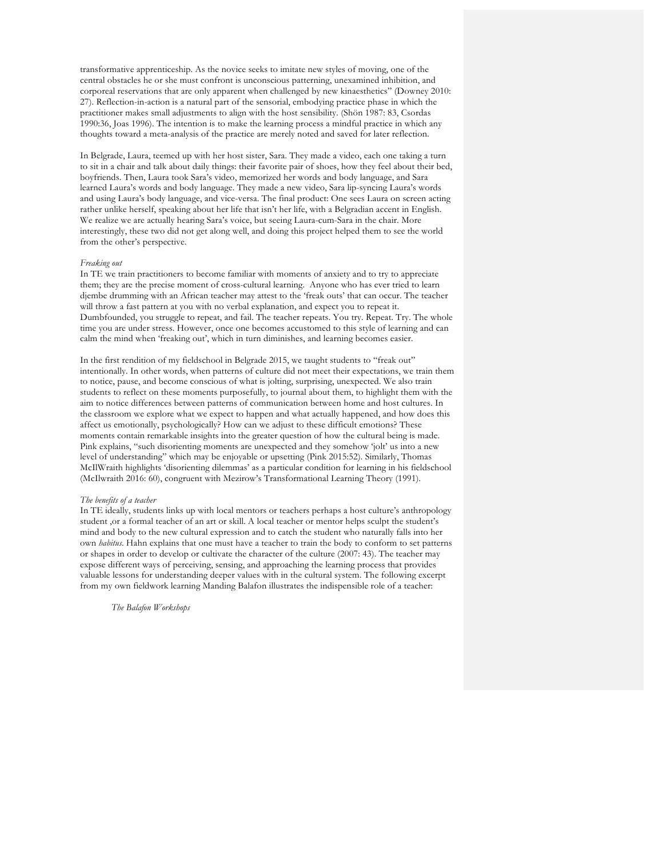transformative apprenticeship. As the novice seeks to imitate new styles of moving, one of the central obstacles he or she must confront is unconscious patterning, unexamined inhibition, and corporeal reservations that are only apparent when challenged by new kinaesthetics" (Downey 2010: 27). Reflection-in-action is a natural part of the sensorial, embodying practice phase in which the practitioner makes small adjustments to align with the host sensibility. (Shön 1987: 83, Csordas 1990:36, Joas 1996). The intention is to make the learning process a mindful practice in which any thoughts toward a meta-analysis of the practice are merely noted and saved for later reflection.

In Belgrade, Laura, teemed up with her host sister, Sara. They made a video, each one taking a turn to sit in a chair and talk about daily things: their favorite pair of shoes, how they feel about their bed, boyfriends. Then, Laura took Sara's video, memorized her words and body language, and Sara learned Laura's words and body language. They made a new video, Sara lip-syncing Laura's words and using Laura's body language, and vice-versa. The final product: One sees Laura on screen acting rather unlike herself, speaking about her life that isn't her life, with a Belgradian accent in English. We realize we are actually hearing Sara's voice, but seeing Laura-cum-Sara in the chair. More interestingly, these two did not get along well, and doing this project helped them to see the world from the other's perspective.

#### *Freaking out*

In TE we train practitioners to become familiar with moments of anxiety and to try to appreciate them; they are the precise moment of cross-cultural learning. Anyone who has ever tried to learn djembe drumming with an African teacher may attest to the 'freak outs' that can occur. The teacher will throw a fast pattern at you with no verbal explanation, and expect you to repeat it. Dumbfounded, you struggle to repeat, and fail. The teacher repeats. You try. Repeat. Try. The whole time you are under stress. However, once one becomes accustomed to this style of learning and can calm the mind when 'freaking out', which in turn diminishes, and learning becomes easier.

In the first rendition of my fieldschool in Belgrade 2015, we taught students to "freak out" intentionally. In other words, when patterns of culture did not meet their expectations, we train them to notice, pause, and become conscious of what is jolting, surprising, unexpected. We also train students to reflect on these moments purposefully, to journal about them, to highlight them with the aim to notice differences between patterns of communication between home and host cultures. In the classroom we explore what we expect to happen and what actually happened, and how does this affect us emotionally, psychologically? How can we adjust to these difficult emotions? These moments contain remarkable insights into the greater question of how the cultural being is made. Pink explains, "such disorienting moments are unexpected and they somehow 'jolt' us into a new level of understanding" which may be enjoyable or upsetting (Pink 2015:52). Similarly, Thomas McIlWraith highlights 'disorienting dilemmas' as a particular condition for learning in his fieldschool (McIlwraith 2016: 60), congruent with Mezirow's Transformational Learning Theory (1991).

#### *The benefits of a teacher*

In TE ideally, students links up with local mentors or teachers perhaps a host culture's anthropology student ,or a formal teacher of an art or skill. A local teacher or mentor helps sculpt the student's mind and body to the new cultural expression and to catch the student who naturally falls into her own *habitus*. Hahn explains that one must have a teacher to train the body to conform to set patterns or shapes in order to develop or cultivate the character of the culture (2007: 43). The teacher may expose different ways of perceiving, sensing, and approaching the learning process that provides valuable lessons for understanding deeper values with in the cultural system. The following excerpt from my own fieldwork learning Manding Balafon illustrates the indispensible role of a teacher:

*The Balafon Workshops*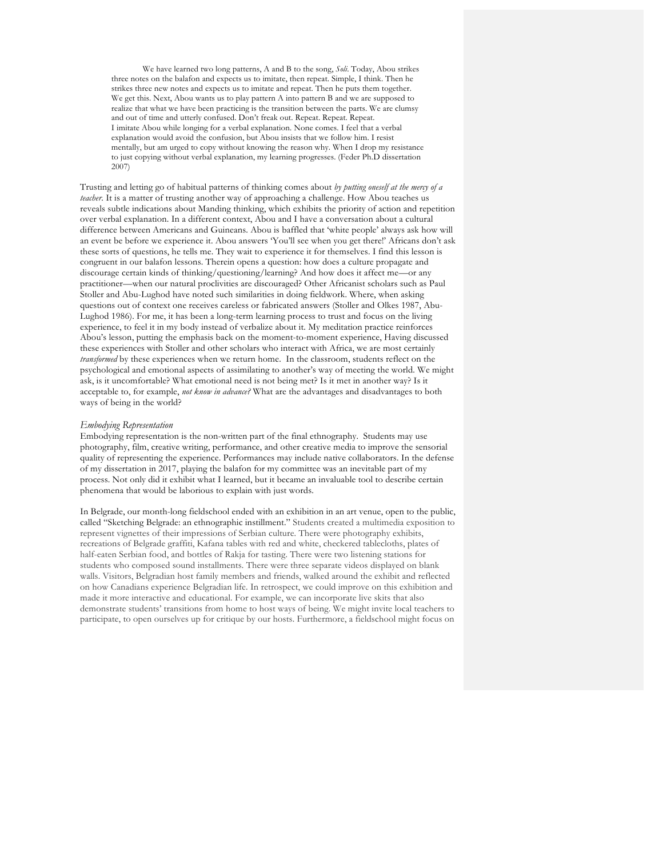We have learned two long patterns, A and B to the song, *Soli*. Today, Abou strikes three notes on the balafon and expects us to imitate, then repeat. Simple, I think. Then he strikes three new notes and expects us to imitate and repeat. Then he puts them together. We get this. Next, Abou wants us to play pattern A into pattern B and we are supposed to realize that what we have been practicing is the transition between the parts. We are clumsy and out of time and utterly confused. Don't freak out. Repeat. Repeat. Repeat. I imitate Abou while longing for a verbal explanation. None comes. I feel that a verbal explanation would avoid the confusion, but Abou insists that we follow him. I resist mentally, but am urged to copy without knowing the reason why. When I drop my resistance to just copying without verbal explanation, my learning progresses. (Feder Ph.D dissertation 2007)

Trusting and letting go of habitual patterns of thinking comes about *by putting oneself at the mercy of a teacher*. It is a matter of trusting another way of approaching a challenge. How Abou teaches us reveals subtle indications about Manding thinking, which exhibits the priority of action and repetition over verbal explanation. In a different context, Abou and I have a conversation about a cultural difference between Americans and Guineans. Abou is baffled that 'white people' always ask how will an event be before we experience it. Abou answers 'You'll see when you get there!' Africans don't ask these sorts of questions, he tells me. They wait to experience it for themselves. I find this lesson is congruent in our balafon lessons. Therein opens a question: how does a culture propagate and discourage certain kinds of thinking/questioning/learning? And how does it affect me—or any practitioner—when our natural proclivities are discouraged? Other Africanist scholars such as Paul Stoller and Abu-Lughod have noted such similarities in doing fieldwork. Where, when asking questions out of context one receives careless or fabricated answers (Stoller and Olkes 1987, Abu-Lughod 1986). For me, it has been a long-term learning process to trust and focus on the living experience, to feel it in my body instead of verbalize about it. My meditation practice reinforces Abou's lesson, putting the emphasis back on the moment-to-moment experience, Having discussed these experiences with Stoller and other scholars who interact with Africa, we are most certainly *transformed* by these experiences when we return home. In the classroom, students reflect on the psychological and emotional aspects of assimilating to another's way of meeting the world. We might ask, is it uncomfortable? What emotional need is not being met? Is it met in another way? Is it acceptable to, for example, *not know in advance?* What are the advantages and disadvantages to both ways of being in the world?

#### *Embodying Representation*

Embodying representation is the non-written part of the final ethnography. Students may use photography, film, creative writing, performance, and other creative media to improve the sensorial quality of representing the experience. Performances may include native collaborators. In the defense of my dissertation in 2017, playing the balafon for my committee was an inevitable part of my process. Not only did it exhibit what I learned, but it became an invaluable tool to describe certain phenomena that would be laborious to explain with just words.

In Belgrade, our month-long fieldschool ended with an exhibition in an art venue, open to the public, called "Sketching Belgrade: an ethnographic instillment." Students created a multimedia exposition to represent vignettes of their impressions of Serbian culture. There were photography exhibits, recreations of Belgrade graffiti, Kafana tables with red and white, checkered tablecloths, plates of half-eaten Serbian food, and bottles of Rakja for tasting. There were two listening stations for students who composed sound installments. There were three separate videos displayed on blank walls. Visitors, Belgradian host family members and friends, walked around the exhibit and reflected on how Canadians experience Belgradian life. In retrospect, we could improve on this exhibition and made it more interactive and educational. For example, we can incorporate live skits that also demonstrate students' transitions from home to host ways of being. We might invite local teachers to participate, to open ourselves up for critique by our hosts. Furthermore, a fieldschool might focus on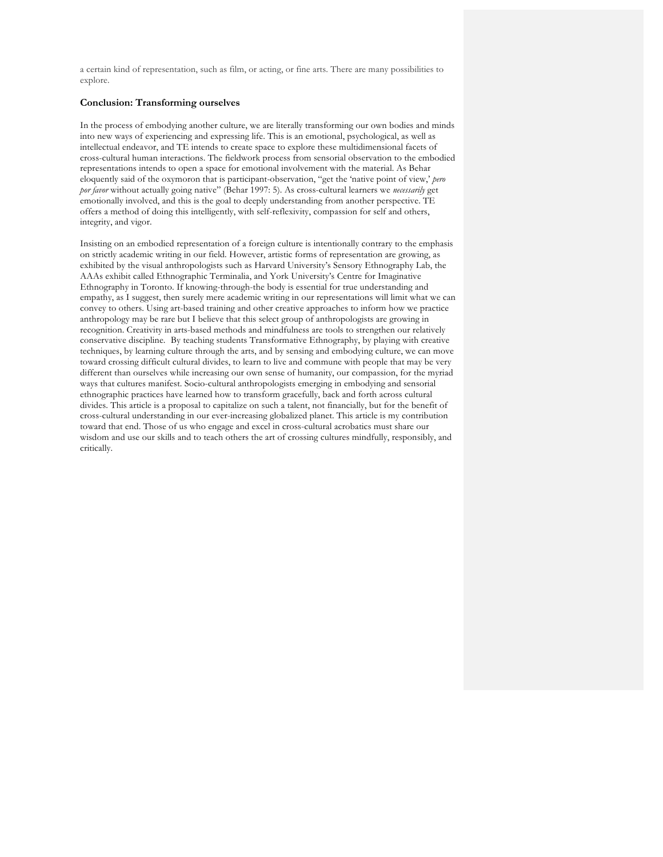a certain kind of representation, such as film, or acting, or fine arts. There are many possibilities to explore.

# **Conclusion: Transforming ourselves**

In the process of embodying another culture, we are literally transforming our own bodies and minds into new ways of experiencing and expressing life. This is an emotional, psychological, as well as intellectual endeavor, and TE intends to create space to explore these multidimensional facets of cross-cultural human interactions. The fieldwork process from sensorial observation to the embodied representations intends to open a space for emotional involvement with the material. As Behar eloquently said of the oxymoron that is participant-observation, "get the 'native point of view,' *pero por favor* without actually going native" (Behar 1997: 5). As cross-cultural learners we *necessarily* get emotionally involved, and this is the goal to deeply understanding from another perspective. TE offers a method of doing this intelligently, with self-reflexivity, compassion for self and others, integrity, and vigor.

Insisting on an embodied representation of a foreign culture is intentionally contrary to the emphasis on strictly academic writing in our field. However, artistic forms of representation are growing, as exhibited by the visual anthropologists such as Harvard University's Sensory Ethnography Lab, the AAAs exhibit called Ethnographic Terminalia, and York University's Centre for Imaginative Ethnography in Toronto. If knowing-through-the body is essential for true understanding and empathy, as I suggest, then surely mere academic writing in our representations will limit what we can convey to others. Using art-based training and other creative approaches to inform how we practice anthropology may be rare but I believe that this select group of anthropologists are growing in recognition. Creativity in arts-based methods and mindfulness are tools to strengthen our relatively conservative discipline. By teaching students Transformative Ethnography, by playing with creative techniques, by learning culture through the arts, and by sensing and embodying culture, we can move toward crossing difficult cultural divides, to learn to live and commune with people that may be very different than ourselves while increasing our own sense of humanity, our compassion, for the myriad ways that cultures manifest. Socio-cultural anthropologists emerging in embodying and sensorial ethnographic practices have learned how to transform gracefully, back and forth across cultural divides. This article is a proposal to capitalize on such a talent, not financially, but for the benefit of cross-cultural understanding in our ever-increasing globalized planet. This article is my contribution toward that end. Those of us who engage and excel in cross-cultural acrobatics must share our wisdom and use our skills and to teach others the art of crossing cultures mindfully, responsibly, and critically.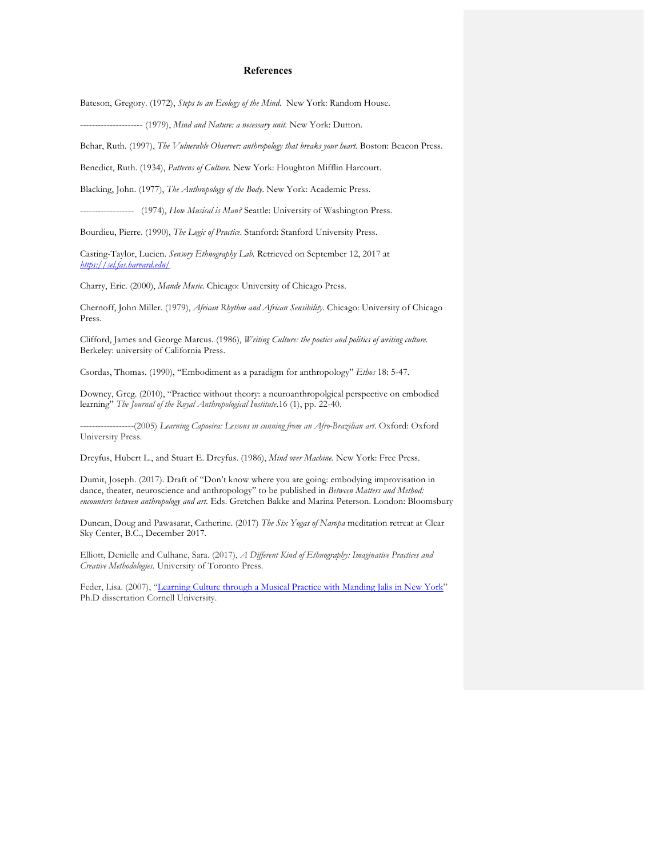# **References**

Bateson, Gregory. (1972), *Steps to an Ecology of the Mind*. New York: Random House.

--------------------- (1979), *Mind and Nature: a necessary unit.* New York: Dutton.

Behar, Ruth. (1997), *The Vulnerable Observer: anthropology that breaks your heart.* Boston: Beacon Press.

Benedict, Ruth. (1934), *Patterns of Culture.* New York: Houghton Mifflin Harcourt.

Blacking, John. (1977), *The Anthropology of the Body*. New York: Academic Press.

------------------ (1974), *How Musical is Man?* Seattle: University of Washington Press.

Bourdieu, Pierre. (1990), *The Logic of Practice*. Stanford: Stanford University Press.

Casting-Taylor, Lucien. *Sensory Ethnography Lab.* Retrieved on September 12, 2017 at *https://sel.fas.harvard.edu/*

Charry, Eric. (2000), *Mande Music*. Chicago: University of Chicago Press.

Chernoff, John Miller*.* (1979), *African Rhythm and African Sensibility.* Chicago: University of Chicago Press.

Clifford, James and George Marcus. (1986), *Writing Culture: the poetics and politics of writing culture.* Berkeley: university of California Press.

Csordas, Thomas. (1990), "Embodiment as a paradigm for anthropology" *Ethos* 18: 5-47.

Downey, Greg. (2010), "Practice without theory: a neuroanthropolgical perspective on embodied learning" *The Journal of the Royal Anthropological Institute*.16 (1), pp. 22-40.

------------------(2005) *Learning Capoeira: Lessons in cunning from an Afro-Brazilian art*. Oxford: Oxford University Press.

Dreyfus, Hubert L., and Stuart E. Dreyfus. (1986), *Mind over Machine.* New York: Free Press.

Dumit, Joseph. (2017). Draft of "Don't know where you are going: embodying improvisation in dance, theater, neuroscience and anthropology" to be published in *Between Matters and Method: encounters between anthropology and art.* Eds. Gretchen Bakke and Marina Peterson. London: Bloomsbury

Duncan, Doug and Pawasarat, Catherine. (2017) *The Six Yogas of Naropa* meditation retreat at Clear Sky Center, B.C., December 2017.

Elliott, Denielle and Culhane, Sara. (2017), *A Different Kind of Ethnography: Imaginative Practices and Creative Methodologies.* University of Toronto Press.

Feder, Lisa. (2007), "Learning Culture through a Musical Practice with Manding Jalis in New York" Ph.D dissertation Cornell University.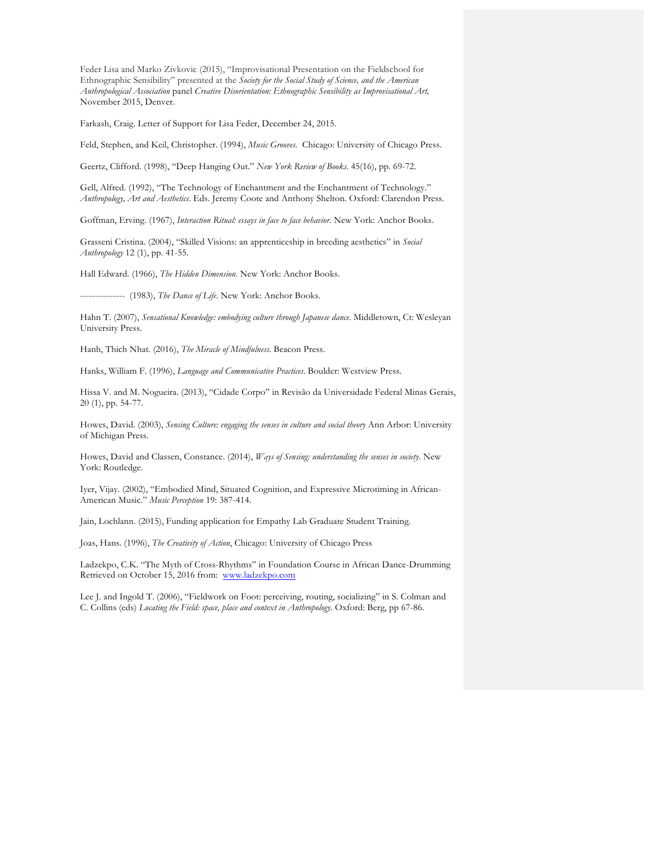Feder Lisa and Marko Zivkovic (2015), "Improvisational Presentation on the Fieldschool for Ethnographic Sensibility" presented at the *Society for the Social Study of Science, and the American Anthropological Association* panel *Creative Disorientation: Ethnographic Sensibility as Improvisational Art,*  November 2015, Denver*.* 

Farkash, Craig. Letter of Support for Lisa Feder, December 24, 2015.

Feld, Stephen, and Keil, Christopher. (1994), *Music Grooves.* Chicago: University of Chicago Press.

Geertz, Clifford. (1998), "Deep Hanging Out." *New York Review of Books.* 45(16), pp. 69-72.

Gell, Alfred. (1992), "The Technology of Enchantment and the Enchantment of Technology." *Anthropology, Art and Aesthetics*. Eds. Jeremy Coote and Anthony Shelton. Oxford: Clarendon Press.

Goffman, Erving. (1967), *Interaction Ritual: essays in face to face behavior*. New York: Anchor Books.

Grasseni Cristina. (2004), "Skilled Visions: an apprenticeship in breeding aesthetics" in *Social Anthropology* 12 (1), pp. 41-55.

Hall Edward. (1966), *The Hidden Dimension*. New York: Anchor Books.

--------------- (1983), *The Dance of Life*. New York: Anchor Books.

Hahn T. (2007), *Sensational Knowledge: embodying culture through Japanese dance*. Middletown, Ct: Wesleyan University Press.

Hanh, Thich Nhat. (2016), *The Miracle of Mindfulness*. Beacon Press.

Hanks, William F. (1996), *Language and Communicative Practices*. Boulder: Westview Press.

Hissa V. and M. Nogueira. (2013), "Cidade Corpo" in Revisão da Universidade Federal Minas Gerais, 20 (1), pp. 54-77.

Howes, David. (2003), *Sensing Culture: engaging the senses in culture and social theory* Ann Arbor: University of Michigan Press.

Howes, David and Classen, Constance. (2014), *Ways of Sensing: understanding the senses in society*. New York: Routledge.

Iyer, Vijay. (2002), "Embodied Mind, Situated Cognition, and Expressive Microtiming in African-American Music." *Music Perception* 19: 387-414.

Jain, Lochlann. (2015), Funding application for Empathy Lab Graduate Student Training.

Joas, Hans. (1996), *The Creativity of Action*, Chicago: University of Chicago Press

Ladzekpo, C.K. "The Myth of Cross-Rhythms" in Foundation Course in African Dance-Drumming Retrieved on October 15, 2016 from: www.ladzekpo.com

Lee J. and Ingold T. (2006), "Fieldwork on Foot: perceiving, routing, socializing" in S. Colman and C. Collins (eds) *Locating the Field: space, place and context in Anthropology*. Oxford: Berg, pp 67-86.